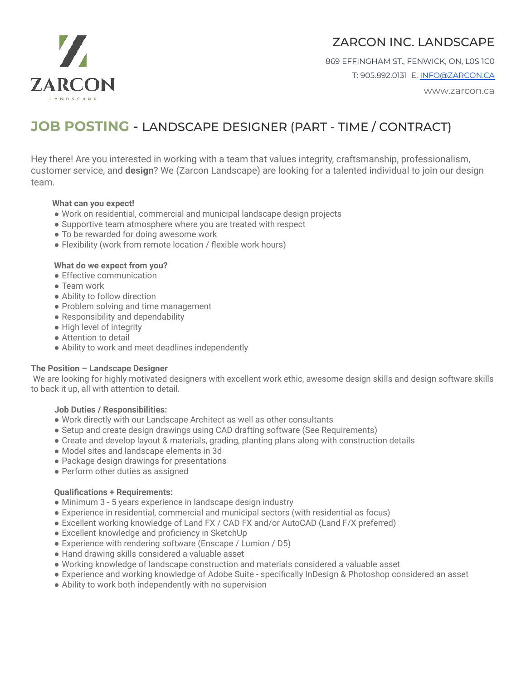

# ZARCON INC. LANDSCAPE

869 EFFINGHAM ST., FENWICK, ON, L0S 1C0 T: 905.892.0131 E. [INFO@ZARCON.CA](mailto:INFO@ZARCON.CA)

www.zarcon.ca

# **JOB POSTING** - LANDSCAPE DESIGNER (PART - TIME / CONTRACT)

Hey there! Are you interested in working with a team that values integrity, craftsmanship, professionalism, customer service, and **design**? We (Zarcon Landscape) are looking for a talented individual to join our design team.

### **What can you expect!**

- Work on residential, commercial and municipal landscape design projects
- Supportive team atmosphere where you are treated with respect
- To be rewarded for doing awesome work
- Flexibility (work from remote location / flexible work hours)

#### **What do we expect from you?**

- Effective communication
- Team work
- Ability to follow direction
- Problem solving and time management
- Responsibility and dependability
- High level of integrity
- Attention to detail
- Ability to work and meet deadlines independently

#### **The Position – Landscape Designer**

We are looking for highly motivated designers with excellent work ethic, awesome design skills and design software skills to back it up, all with attention to detail.

#### **Job Duties / Responsibilities:**

- Work directly with our Landscape Architect as well as other consultants
- Setup and create design drawings using CAD drafting software (See Requirements)
- Create and develop layout & materials, grading, planting plans along with construction details
- Model sites and landscape elements in 3d
- Package design drawings for presentations
- Perform other duties as assigned

## **Qualifications + Requirements:**

- Minimum 3 5 years experience in landscape design industry
- Experience in residential, commercial and municipal sectors (with residential as focus)
- Excellent working knowledge of Land FX / CAD FX and/or AutoCAD (Land F/X preferred)
- Excellent knowledge and proficiency in SketchUp
- Experience with rendering software (Enscape / Lumion / D5)
- Hand drawing skills considered a valuable asset
- Working knowledge of landscape construction and materials considered a valuable asset
- Experience and working knowledge of Adobe Suite specifically InDesign & Photoshop considered an asset
- Ability to work both independently with no supervision